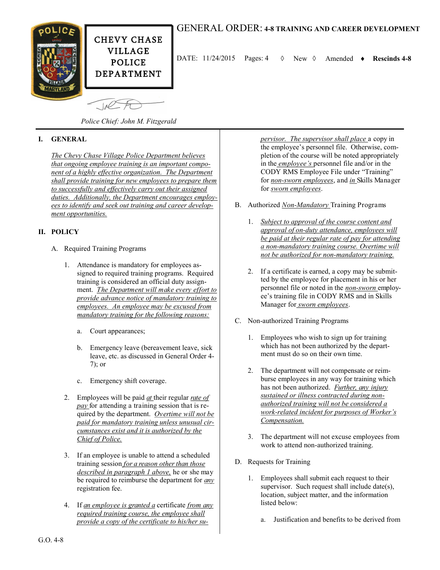



DATE:  $11/24/2015$  Pages:  $4 \quad \lozenge$  New  $\lozenge$  Amended  $\bullet$  Rescinds 4-8

*Police Chief: John M. Fitzgerald*

## **I. GENERAL**

*The Chevy Chase Village Police Department believes that ongoing employee training is an important component of a highly effective organization. The Department shall provide training for new employees to prepare them to successfully and effectively carry out their assigned duties. Additionally, the Department encourages employees to identify and seek out training and career development opportunities.* 

#### **II. POLICY**

- A. Required Training Programs
	- 1. Attendance is mandatory for employees assigned to required training programs. Required training is considered an official duty assignment. *The Department will make every effort to provide advance notice of mandatory training to employees. An employee may be excused from mandatory training for the following reasons:* 
		- a. Court appearances;
		- b. Emergency leave (bereavement leave, sick leave, etc. as discussed in General Order 4- 7); or
		- c. Emergency shift coverage.
	- 2. Employees will be paid *at* their regular *rate of pay* for attending a training session that is required by the department. *Overtime will not be paid for mandatory training unless unusual circumstances exist and it is authorized by the Chief of Police.*
	- 3. If an employee is unable to attend a scheduled training session *for a reason other than those described in paragraph 1 above,* he or she may be required to reimburse the department for *any*  registration fee.
	- 4. If *an employee is granted a* certificate *from any required training course, the employee shall provide a copy of the certificate to his/her su-*

*pervisor. The supervisor shall place* a copy in the employee's personnel file. Otherwise, completion of the course will be noted appropriately in the *employee's* personnel file and/or in the CODY RMS Employee File under "Training" for *non-sworn employees*, and *in* Skills Manager for *sworn employees*.

- B. Authorized *Non-Mandatory* Training Programs
	- 1. *Subject to approval of the course content and approval of on-duty attendance, employees will be paid at their regular rate of pay for attending a non-mandatory training course. Overtime will not be authorized for non-mandatory training.*
	- 2. If a certificate is earned, a copy may be submitted by the employee for placement in his or her personnel file or noted in the *non-sworn* employee's training file in CODY RMS and in Skills Manager for *sworn employees*.
- C. Non-authorized Training Programs
	- 1. Employees who wish to sign up for training which has not been authorized by the department must do so on their own time.
	- 2. The department will not compensate or reimburse employees in any way for training which has not been authorized. *Further, any injury sustained or illness contracted during nonauthorized training will not be considered a work-related incident for purposes of Worker's Compensation.*
	- 3. The department will not excuse employees from work to attend non-authorized training.
- D. Requests for Training
	- 1. Employees shall submit each request to their supervisor. Such request shall include date(s), location, subject matter, and the information listed below:
		- a. Justification and benefits to be derived from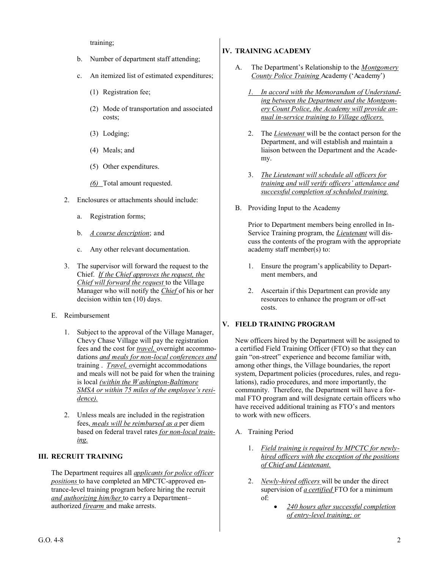training;

- b. Number of department staff attending;
- c. An itemized list of estimated expenditures;
	- (1) Registration fee;
	- (2) Mode of transportation and associated costs;
	- (3) Lodging;
	- (4) Meals; and
	- (5) Other expenditures.
	- *(6)* Total amount requested.
- 2. Enclosures or attachments should include:
	- a. Registration forms;
	- b. *A course description*; and
	- c. Any other relevant documentation.
- 3. The supervisor will forward the request to the Chief. *If the Chief approves the request, the Chief will forward the request* to the Village Manager who will notify the *Chief* of his or her decision within ten (10) days.
- E. Reimbursement
	- 1. Subject to the approval of the Village Manager, Chevy Chase Village will pay the registration fees and the cost for *travel,* overnight accommodations *and meals for non-local conferences and*  training . *Travel, o*vernight accommodations and meals will not be paid for when the training is local *(within the Washington-Baltimore SMSA or within 75 miles of the employee's residence).*
	- 2. Unless meals are included in the registration fees, *meals will be reimbursed as a* per diem based on federal travel rates *for non-local training.*

# **III. RECRUIT TRAINING**

The Department requires all *applicants for police officer positions* to have completed an MPCTC-approved entrance-level training program before hiring the recruit *and authorizing him/her* to carry a Department– authorized *firearm* and make arrests.

# **IV. TRAINING ACADEMY**

- A. The Department's Relationship to the *Montgomery County Police Training* Academy ('Academy')
	- *1. In accord with the Memorandum of Understanding between the Department and the Montgomery Count Police, the Academy will provide annual in-service training to Village officers.*
	- 2. The *Lieutenant* will be the contact person for the Department, and will establish and maintain a liaison between the Department and the Academy.
	- 3. *The Lieutenant will schedule all officers for training and will verify officers' attendance and successful completion of scheduled training.*
- B. Providing Input to the Academy

Prior to Department members being enrolled in In-Service Training program, the *Lieutenant* will discuss the contents of the program with the appropriate academy staff member(s) to:

- 1. Ensure the program's applicability to Department members, and
- 2. Ascertain if this Department can provide any resources to enhance the program or off-set costs.

# **V. FIELD TRAINING PROGRAM**

New officers hired by the Department will be assigned to a certified Field Training Officer (FTO) so that they can gain "on-street" experience and become familiar with, among other things, the Village boundaries, the report system, Department policies (procedures, rules, and regulations), radio procedures, and more importantly, the community. Therefore, the Department will have a formal FTO program and will designate certain officers who have received additional training as FTO's and mentors to work with new officers.

- A. Training Period
	- 1. *Field training is required by MPCTC for newlyhired officers with the exception of the positions of Chief and Lieutenant.*
	- 2. *Newly-hired officers* will be under the direct supervision of *a certified* FTO for a minimum of:
		- *240 hours after successful completion of entry-level training; or*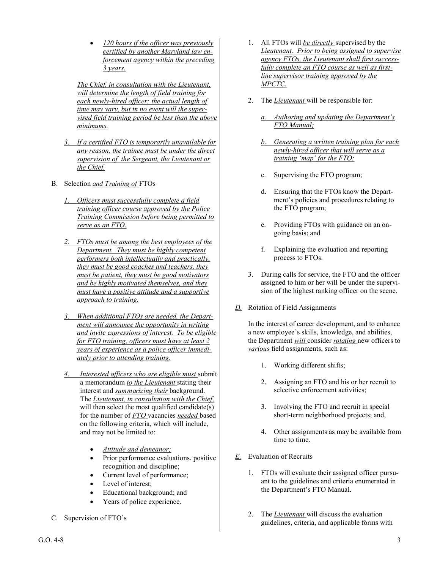*120 hours if the officer was previously certified by another Maryland law enforcement agency within the preceding 3 years.*

*The Chief, in consultation with the Lieutenant, will determine the length of field training for each newly-hired officer; the actual length of time may vary, but in no event will the supervised field training period be less than the above minimums.* 

- *3. If a certified FTO is temporarily unavailable for any reason, the trainee must be under the direct supervision of the Sergeant, the Lieutenant or the Chief.*
- B. Selection *and Training of* FTOs
	- *1. Officers must successfully complete a field training officer course approved by the Police Training Commission before being permitted to serve as an FTO.*
	- *2. FTOs must be among the best employees of the Department. They must be highly competent performers both intellectually and practically, they must be good coaches and teachers, they must be patient, they must be good motivators and be highly motivated themselves, and they must have a positive attitude and a supportive approach to training.*
	- *3. When additional FTOs are needed, the Department will announce the opportunity in writing and invite expressions of interest. To be eligible for FTO training, officers must have at least 2 years of experience as a police officer immediately prior to attending training.*
	- *4. Interested officers who are eligible must* submit a memorandum *to the Lieutenant* stating their interest and *summarizing their* background. The *Lieutenant, in consultation with the Chief,*  will then select the most qualified candidate(s) for the number of *FTO* vacancies *needed* based on the following criteria, which will include, and may not be limited to:
		- *Attitude and demeanor;*
		- Prior performance evaluations, positive recognition and discipline;
		- Current level of performance;
		- Level of interest;
		- Educational background; and
		- Years of police experience.
- C. Supervision of FTO's
- 1. All FTOs will *be directly* supervised by the *Lieutenant. Prior to being assigned to supervise agency FTOs, the Lieutenant shall first successfully complete an FTO course as well as firstline supervisor training approved by the MPCTC.*
- 2. The *Lieutenant* will be responsible for:
	- *a. Authoring and updating the Department's FTO Manual;*
	- *b. Generating a written training plan for each newly-hired officer that will serve as a training 'map' for the FTO;*
	- c. Supervising the FTO program;
	- d. Ensuring that the FTOs know the Department's policies and procedures relating to the FTO program;
	- e. Providing FTOs with guidance on an ongoing basis; and
	- f. Explaining the evaluation and reporting process to FTOs.
- 3. During calls for service, the FTO and the officer assigned to him or her will be under the supervision of the highest ranking officer on the scene.
- *D.* Rotation of Field Assignments

In the interest of career development, and to enhance a new employee's skills, knowledge, and abilities, the Department *will* consider *rotating* new officers to *various* field assignments, such as:

- 1. Working different shifts;
- 2. Assigning an FTO and his or her recruit to selective enforcement activities;
- 3. Involving the FTO and recruit in special short-term neighborhood projects; and,
- 4. Other assignments as may be available from time to time.
- *E.* Evaluation of Recruits
	- 1. FTOs will evaluate their assigned officer pursuant to the guidelines and criteria enumerated in the Department's FTO Manual.
	- 2. The *Lieutenant* will discuss the evaluation guidelines, criteria, and applicable forms with